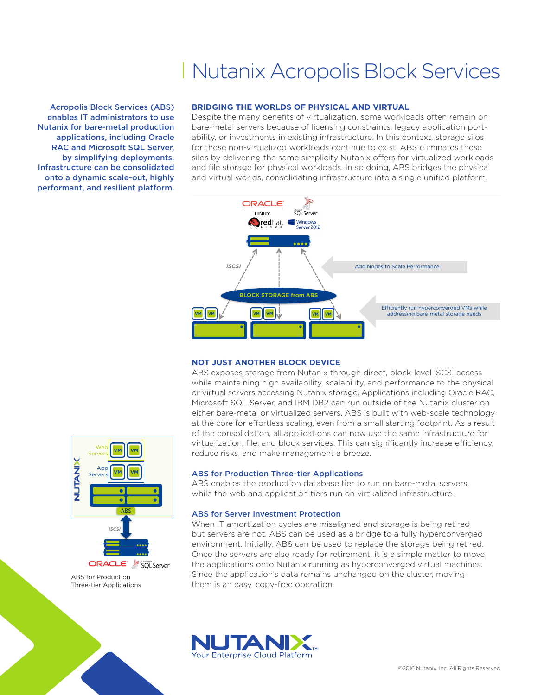# Nutanix Acropolis Block Services

Acropolis Block Services (ABS) enables IT administrators to use Nutanix for bare-metal production applications, including Oracle RAC and Microsoft SQL Server, by simplifying deployments. Infrastructure can be consolidated onto a dynamic scale-out, highly performant, and resilient platform.

# **BRIDGING THE WORLDS OF PHYSICAL AND VIRTUAL**

Despite the many benefits of virtualization, some workloads often remain on bare-metal servers because of licensing constraints, legacy application portability, or investments in existing infrastructure. In this context, storage silos for these non-virtualized workloads continue to exist. ABS eliminates these silos by delivering the same simplicity Nutanix offers for virtualized workloads and file storage for physical workloads. In so doing, ABS bridges the physical and virtual worlds, consolidating infrastructure into a single unified platform.



# **NOT JUST ANOTHER BLOCK DEVICE**

ABS exposes storage from Nutanix through direct, block-level iSCSI access while maintaining high availability, scalability, and performance to the physical or virtual servers accessing Nutanix storage. Applications including Oracle RAC, Microsoft SQL Server, and IBM DB2 can run outside of the Nutanix cluster on either bare-metal or virtualized servers. ABS is built with web-scale technology at the core for effortless scaling, even from a small starting footprint. As a result of the consolidation, all applications can now use the same infrastructure for virtualization, file, and block services. This can significantly increase efficiency, reduce risks, and make management a breeze.

#### ABS for Production Three-tier Applications

ABS enables the production database tier to run on bare-metal servers, while the web and application tiers run on virtualized infrastructure.

#### ABS for Server Investment Protection

When IT amortization cycles are misaligned and storage is being retired but servers are not, ABS can be used as a bridge to a fully hyperconverged environment. Initially, ABS can be used to replace the storage being retired. Once the servers are also ready for retirement, it is a simple matter to move the applications onto Nutanix running as hyperconverged virtual machines. Since the application's data remains unchanged on the cluster, moving them is an easy, copy-free operation.





ABS for Production Three-tier Applications